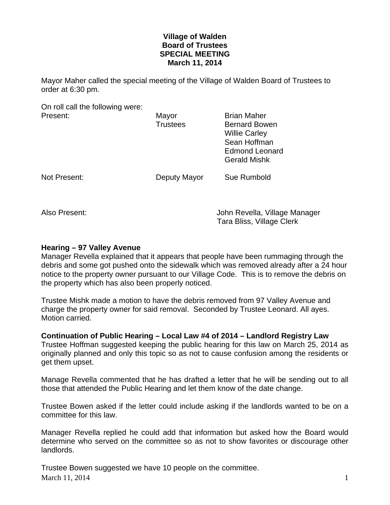## **Village of Walden Board of Trustees SPECIAL MEETING March 11, 2014**

Mayor Maher called the special meeting of the Village of Walden Board of Trustees to order at 6:30 pm.

On roll call the following were: Present: Mayor Brian Maher

|              | <br><b>Trustees</b> | <b>Bernard Bowen</b><br><b>Willie Carley</b><br>Sean Hoffman<br><b>Edmond Leonard</b> |
|--------------|---------------------|---------------------------------------------------------------------------------------|
| Not Present: | Deputy Mayor        | <b>Gerald Mishk</b><br>Sue Rumbold                                                    |
|              |                     |                                                                                       |

Also Present: John Revella, Village Manager Tara Bliss, Village Clerk

## **Hearing – 97 Valley Avenue**

Manager Revella explained that it appears that people have been rummaging through the debris and some got pushed onto the sidewalk which was removed already after a 24 hour notice to the property owner pursuant to our Village Code. This is to remove the debris on the property which has also been properly noticed.

Trustee Mishk made a motion to have the debris removed from 97 Valley Avenue and charge the property owner for said removal. Seconded by Trustee Leonard. All ayes. Motion carried.

**Continuation of Public Hearing – Local Law #4 of 2014 – Landlord Registry Law**  Trustee Hoffman suggested keeping the public hearing for this law on March 25, 2014 as originally planned and only this topic so as not to cause confusion among the residents or get them upset.

Manage Revella commented that he has drafted a letter that he will be sending out to all those that attended the Public Hearing and let them know of the date change.

Trustee Bowen asked if the letter could include asking if the landlords wanted to be on a committee for this law.

Manager Revella replied he could add that information but asked how the Board would determine who served on the committee so as not to show favorites or discourage other landlords.

March 11, 2014  $\frac{1}{2}$  1 Trustee Bowen suggested we have 10 people on the committee.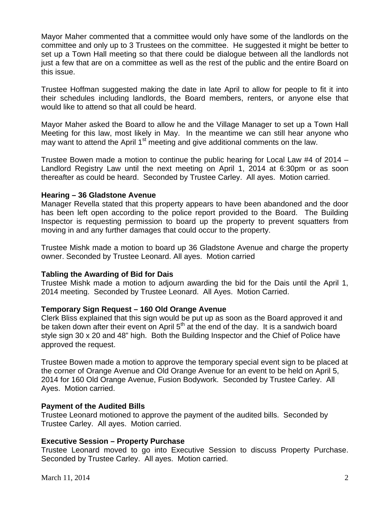Mayor Maher commented that a committee would only have some of the landlords on the committee and only up to 3 Trustees on the committee. He suggested it might be better to set up a Town Hall meeting so that there could be dialogue between all the landlords not just a few that are on a committee as well as the rest of the public and the entire Board on this issue.

Trustee Hoffman suggested making the date in late April to allow for people to fit it into their schedules including landlords, the Board members, renters, or anyone else that would like to attend so that all could be heard.

Mayor Maher asked the Board to allow he and the Village Manager to set up a Town Hall Meeting for this law, most likely in May. In the meantime we can still hear anyone who may want to attend the April  $1<sup>st</sup>$  meeting and give additional comments on the law.

Trustee Bowen made a motion to continue the public hearing for Local Law #4 of 2014 – Landlord Registry Law until the next meeting on April 1, 2014 at 6:30pm or as soon thereafter as could be heard. Seconded by Trustee Carley. All ayes. Motion carried.

### **Hearing – 36 Gladstone Avenue**

Manager Revella stated that this property appears to have been abandoned and the door has been left open according to the police report provided to the Board. The Building Inspector is requesting permission to board up the property to prevent squatters from moving in and any further damages that could occur to the property.

Trustee Mishk made a motion to board up 36 Gladstone Avenue and charge the property owner. Seconded by Trustee Leonard. All ayes. Motion carried

#### **Tabling the Awarding of Bid for Dais**

Trustee Mishk made a motion to adjourn awarding the bid for the Dais until the April 1, 2014 meeting. Seconded by Trustee Leonard. All Ayes. Motion Carried.

## **Temporary Sign Request – 160 Old Orange Avenue**

Clerk Bliss explained that this sign would be put up as soon as the Board approved it and be taken down after their event on April  $5<sup>th</sup>$  at the end of the day. It is a sandwich board style sign 30 x 20 and 48" high. Both the Building Inspector and the Chief of Police have approved the request.

Trustee Bowen made a motion to approve the temporary special event sign to be placed at the corner of Orange Avenue and Old Orange Avenue for an event to be held on April 5, 2014 for 160 Old Orange Avenue, Fusion Bodywork. Seconded by Trustee Carley. All Ayes. Motion carried.

#### **Payment of the Audited Bills**

Trustee Leonard motioned to approve the payment of the audited bills. Seconded by Trustee Carley. All ayes. Motion carried.

## **Executive Session – Property Purchase**

Trustee Leonard moved to go into Executive Session to discuss Property Purchase. Seconded by Trustee Carley. All ayes. Motion carried.